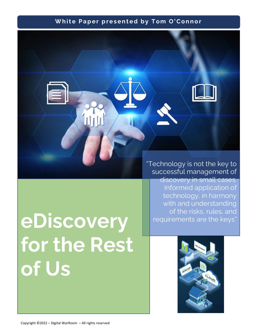### **White Paper presented by Tom O'Connor**



# "Technology is not the key to successful management of

discovery in small cases. Informed application of technology, in harmony with and understanding of the risks, rules, and

# eDiscovery **requirements are the keys**" **for the Rest of Us**

 $\mathbf{u}$ 

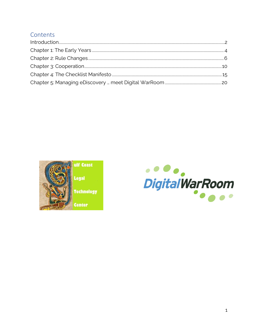## Contents



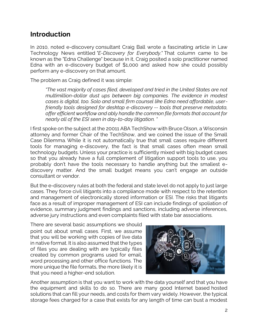## <span id="page-2-0"></span>**Introduction**

In 2010, noted e-discovery consultant Craig Ball wrote a fascinating article in Law Technology News entitled *"E-Discovery for Everybody*." That column came to be known as the "Edna Challenge" because in it, Craig posited a solo practitioner named Edna with an e-discovery budget of \$1,000 and asked how she could possibly perform any e-discovery on that amount.

The problem as Craig defined it was simple:

*"The vast majority of cases filed, developed and tried in the United States are not multimillion-dollar dust ups between big companies. The evidence in modest cases is digital, too. Solo and small firm counsel like Edna need affordable, userfriendly tools designed for desktop e-discovery -- tools that preserve metadata, offer efficient workflow and ably handle the common file formats that account for nearly all of the ESI seen in day-to-day litigation. "*

I first spoke on the subject at the 20011 ABA TechShow with Bruce Olson, a Wisconsin attorney and former Chair of the TechShow, and we coined the issue of the Small Case Dilemma. While it is not automatically true that small cases require different tools for managing e-discovery, the fact is that small cases often mean small technology budgets. Unless your practice is sufficiently mixed with big budget cases so that you already have a full complement of litigation support tools to use, you probably don't have the tools necessary to handle anything but the smallest ediscovery matter. And the small budget means you can't engage an outside consultant or vendor.

But the e-discovery rules at both the federal and state level do not apply to just large cases. They force civil litigants into a compliance mode with respect to the retention and management of electronically stored information or ESI. The risks that litigants face as a result of improper management of ESI can include findings of spoliation of evidence, summary judgment findings and sanctions, including adverse inferences, adverse jury instructions and even complaints filed with state bar associations.

There are several basic assumptions we should point out about small cases. First, we assume that you will be working with copies of live data in native format. It is also assumed that the types of files you are dealing with are typically files created by common programs used for email, word processing and other office functions. The more unique the file formats, the more likely it is that you need a higher-end solution.



Another assumption is that you want to work with the data yourself and that you have the equipment and skills to do so. There are many good Internet based hosted solutions that can fill your needs, and costs for them vary widely. However, the typical storage fees charged for a case that exists for any length of time can bust a modest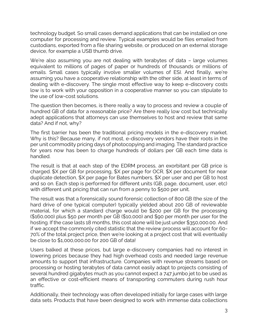technology budget. So small cases demand applications that can be installed on one computer for processing and review. Typical examples would be files emailed from custodians, exported from a file sharing website, or produced on an external storage device, for example a USB thumb drive.

We're also assuming you are not dealing with terabytes of data – large volumes equivalent to millions of pages of paper or hundreds of thousands or millions of emails. Small cases typically involve smaller volumes of ESI. And finally, we're assuming you have a cooperative relationship with the other side, at least in terms of dealing with e-discovery. The single most effective way to keep e-discovery costs low is to work with your opposition in a cooperative manner so you can stipulate to the use of low-cost solutions.

The question then becomes, is there really a way to process and review a couple of hundred GB of data for a reasonable price? Are there really low cost but technically adept applications that attorneys can use themselves to host and review that same data? And if not, why?

The first barrier has been the traditional pricing models in the e-discovery market. Why is this? Because many, if not most, e-discovery vendors have their roots in the per unit commodity pricing days of photocopying and imaging. The standard practice for years now has been to charge hundreds of dollars per GB each time data is handled.

The result is that at each step of the EDRM process, an exorbitant per GB price is charged. \$X per GB for processing, \$X per page for OCR, \$X per document for near duplicate detection, \$X per page for Bates numbers, \$X per user and per GB to host and so on. Each step is performed for different units (GB, page, document, user, etc) with different unit pricing that can run from a penny to \$500 per unit.

The result was that a forensically sound forensic collection of 800 GB (the size of the hard drive of one typical computer) typically yielded about 200 GB of reviewable material, for which a standard charge would be \$200 per GB for the processing (\$160,000) plus \$50 per month per GB (\$10,000) and \$90 per month per user for the hosting. If the case lasts 18 months, this cost alone will be just under \$350,000.00. And if we accept the commonly cited statistic that the review process will account for 60- 70% of the total project price, then we're looking at a project cost that will eventually be close to \$1,000,000.00 for 200 GB of data!

Users balked at these prices, but large e-discovery companies had no interest in lowering prices because they had high overhead costs and needed large revenue amounts to support that infrastructure. Companies with revenue streams based on processing or hosting terabytes of data cannot easily adapt to projects consisting of several hundred gigabytes much as you cannot expect a 747 jumbo jet to be used as an effective or cost-efficient means of transporting commuters during rush hour traffic.

Additionally, their technology was often developed initially for large cases with large data sets. Products that have been designed to work with immense data collections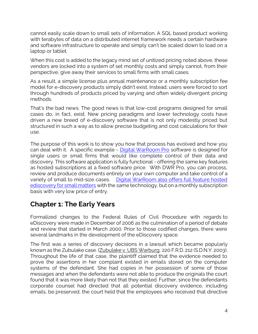cannot easily scale down to small sets of information. A SQL based product working with terabytes of data on a distributed internet framework needs a certain hardware and software infrastructure to operate and simply can't be scaled down to load on a laptop or tablet.

When this cost is added to the legacy mind set of unitized pricing noted above, these vendors are locked into a system of set monthly costs and simply cannot, from their perspective, give away their services to small firms with small cases.

As a result, a simple license plus annual maintenance or a monthly subscription fee model for e-discovery products simply didn't exist. Instead, users were forced to sort through hundreds of products priced by varying and often widely divergent pricing methods.

That's the bad news. The good news is that low-cost programs designed for small cases do, in fact, exist. New pricing paradigms and lower technology costs have driven a new breed of e-discovery software that is not only modestly priced but structured in such a way as to allow precise budgeting and cost calculations for their use.

The purpose of this work is to show you how that process has evolved and how you can deal with it. A specific example - [Digital WarRoom Pro](https://www.digitalwarroom.com/products/pro-software) software is designed for single users or small firms that would like complete control of their data and discovery. This software application is fully functional - offering the same key features as hosted subscriptions at a fixed software price. With DWR Pro, you can process, review and produce documents entirely on your own computer and take control of a variety of small to mid-size cases. [Digital WarRoom also offers full feature hosted](https://www.digitalwarroom.com/products/single-matter)  [ediscovery for small matters](https://www.digitalwarroom.com/products/single-matter) with the same technology, but on a monthly subscription basis with very low price of entry.

# <span id="page-4-0"></span>**Chapter 1: The Early Years**

Formalized changes to the Federal Rules of Civil Procedure with regards to eDiscovery were made in December of 2006 as the culmination of a period of debate and review that started in March 2000. Prior to those codified changes, there were several landmarks in the development of the eDiscovery space.

The first was a series of discovery decisions in a lawsuit which became popularly known as the Zubulake case. (Zubulake v. UBS Warburg, 220 F.R.D. 212 (S.D.N.Y. 2003). Throughout the life of that case, the plaintiff claimed that the evidence needed to prove the assertions in her complaint existed in emails stored on the computer systems of the defendant. She had copies in her possession of some of those messages and when the defendants were not able to produce the originals the court found that it was more likely than not that they existed. Further, since the defendants corporate counsel had directed that all potential discovery evidence, including emails, be preserved, the court held that the employees who received that directive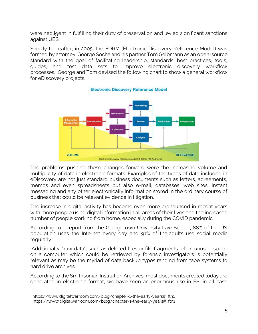were negligent in fulfilling their duty of preservation and levied significant sanctions against UBS.

Shortly thereafter, in 2005, the EDRM (Electronic Discovery Reference Model) was formed by attorney. George Socha and his partner Tom Gelbmann as an open-source standard with the goal of facilitating leadership, standards, best practices, tools, guides, and test data sets to improve electronic discovery workflow processes.<sup>1</sup> George and Tom devised the following chart to show a general workflow for eDiscovery projects.



The problems pushing these changes forward were the increasing volume and multiplicity of data in electronic formats. Examples of the types of data included in eDiscovery are not just standard business documents such as letters, agreements, memos and even spreadsheets but also e-mail, databases, web sites, instant messaging and any other electronically information stored in the ordinary course of business that could be relevant evidence in litigation.

The increase in digital activity has become even more pronounced in recent years with more people using digital information in all areas of their lives and the increased number of people working from home, especially during the COVID pandemic.

According to a report from the Georgetown University Law School, 88% of the US population uses the Internet every day and 91% of the adults use social media regularly.<sup>2</sup>

Additionally, "raw data", such as deleted files or file fragments left in unused space on a computer which could be retrieved by forensic investigators is potentially relevant as may be the myriad of data backup types ranging from tape systems to hard drive archives.

According to the Smithsonian Institution Archives, most documents created today are generated in electronic format, we have seen an enormous rise in ESI in all case

<sup>1</sup> https://www.digitalwarroom.com/blog/chapter-1-the-early-years#\_ftn1

<sup>2</sup> https://www.digitalwarroom.com/blog/chapter-1-the-early-years#\_ftn1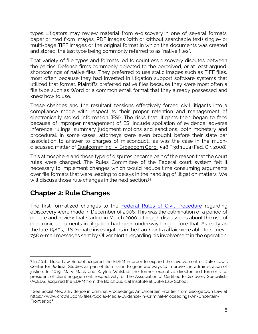types. Litigators may review material from e-discovery in one of several formats: paper printed from images, PDF images (with or without searchable text) single- or multi-page TIFF images or the original format in which the documents was created and stored, the last type being commonly referred to as "native files".

That variety of file types and formats led to countless discovery disputes between the parties. Defense firms commonly objected to the perceived, or at least argued, shortcomings of native files. They preferred to use static images such as TIFF files, most often because they had invested in litigation support software systems that utilized that format. Plaintiffs preferred native files because they were most often a file type such as Word or a common email format that they already possessed and knew how to use.

These changes and the resultant tensions effectively forced civil litigants into a compliance mode with respect to their proper retention and management of electronically stored information (ESI). The risks that litigants then began to face because of improper management of ESI include spoliation of evidence, adverse inference rulings, summary judgment motions and sanctions, both monetary and procedural. In some cases, attorneys were even brought before their state bar association to answer to charges of misconduct., as was the case in the muchdiscussed matter of Qualcomm Inc., v. Broadcom Corp., 548 F.3d 1004 (Fed. Cir. 2008).

This atmosphere and those type of disputes became part of the reason that the court rules were changed. The Rules Committee of the Federal court system felt it necessary to implement changes which would reduce time consuming arguments over file formats that were leading to delays in the handling of litigation matters. We will discuss those rule changes in the next section.<sup>34</sup>

# <span id="page-6-0"></span>**Chapter 2: Rule Changes**

The first formalized changes to the **[Federal Rules of Civil Procedure](https://www.law.cornell.edu/rules/frcp)** regarding eDiscovery were made in December of 2006. This was the culmination of a period of debate and review that started in March 2000 although discussions about the use of electronic documents in litigation had been underway long before that. As early as the late 1980s, U.S. Senate investigators in the Iran-Contra affair were able to retrieve 758 e-mail messages sent by Oliver North regarding his involvement in the operation.

<sup>&</sup>lt;sup>3</sup> In 2016, Duke Law School acquired the EDRM in order to expand the involvement of Duke Law's Center for Judicial Studies as part of its mission to generate ways to improve the administration of justice. In 2019, Mary Mack and Kaylee Walstad, the former executive director and former vice president of client engagement, respectively, of The Association of Certified E-Discovery Specialists (ACEDS) acquired the EDRM from the Bolch Judicial Institute at Duke Law School.

<sup>4</sup> See Social Media Evidence in Criminal Proceedings: An Uncertain Frontier from Georgetown Law at https://www.crowell.com/files/Social-Media-Evidence-in¬Criminal-Proceedings-An-Uncertain-Frontier.pdf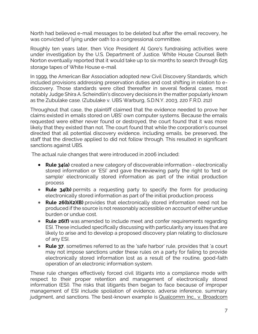North had believed e-mail messages to be deleted but after the email recovery, he was convicted of lying under oath to a congressional committee.

Roughly ten years later, then Vice President Al Gore's fundraising activities were under investigation by the U.S. Department of Justice. White House Counsel Beth Norton eventually reported that it would take up to six months to search through 625 storage tapes of White House e-mail

In 1999, the American Bar Association adopted new Civil Discovery Standards, which included provisions addressing preservation duties and cost shifting in relation to ediscovery. Those standards were cited thereafter in several federal cases, most notably Judge Shira A. Scheindlin's discovery decisions in the matter popularly known as the Zubulake case. (Zubulake v. UBS Warburg, S.D.N.Y. 2003, 220 F.R.D. 212)

Throughout that case, the plaintiff claimed that the evidence needed to prove her claims existed in emails stored on UBS' own computer systems. Because the emails requested were either never found or destroyed, the court found that it was more likely that they existed than not. The court found that while the corporation's counsel directed that all potential discovery evidence, including emails, be preserved, the staff that the directive applied to did not follow through. This resulted in significant sanctions against UBS.

The actual rule changes that were introduced in 2006 included:

- **Rule 34(a)** created a new category of discoverable information electronically stored information or 'ESI' and gave the **r**eviewing party the right to 'test or sample' electronically stored information as part of the initial production process
- **Rule 34(b)** permits a requesting party to specify the form for producing electronically stored information as part of the initial production process
- **Rule 26(b)(2)(B)** provides that electronically stored information need not be produced if the source is not reasonably accessible on account of either undue burden or undue cost.
- **Rule 26(f)** was amended to include meet and confer requirements regarding ESI. These included specifically discussing with particularity any issues that are likely to arise and to develop a proposed discovery plan relating to disclosure of any ESI.
- **Rule 37**, sometimes referred to as the 'safe harbor' rule, provides that 'a court may not impose sanctions under these rules on a party for failing to provide electronically stored information lost as a result of the routine, good-faith operation of an electronic information system.

These rule changes effectively forced civil litigants into a compliance mode with respect to their proper retention and management of electronically stored information (ESI). The risks that litigants then began to face because of improper management of ESI include spoliation of evidence, adverse inference, summary judgment, and sanctions. The best-known example is Qualcomm Inc., v. Broadcom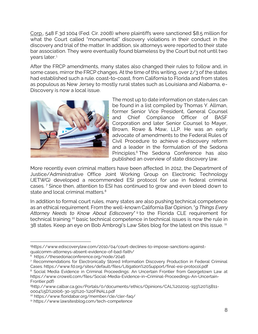Corp., 548 F.3d 1004 (Fed. Cir. 2008) where plaintiffs were sanctioned \$8.5 million for what the Court called "monumental" discovery violations in their conduct in the discovery and trial of the matter. In addition, six attorneys were reported to their state bar association. They were eventually found blameless by the Court but not until two years later.<sup>5</sup>

After the FRCP amendments, many states also changed their rules to follow and, in some cases, mirror the FRCP changes. At the time of this writing, over 2/3 of the states had established such a rule. coast-to-coast, from California to Florida and from states as populous as New Jersey to mostly rural states such as Louisiana and Alabama, e-Discovery is now a local issue.



The most up to date information on state rules can be found in a list compiled by Thomas Y. Allman, former Senior Vice President, General Counsel and Chief Compliance Officer of BASF Corporation and later Senior Counsel to Mayer, Brown, Rowe & Maw, LLP. He was an early advocate of amendments to the Federal Rules of Civil Procedure to achieve e-discovery reform and a leader in the formulation of the Sedona Principles.<sup>6</sup> The Sedona Conference has also published an overview of state discovery law.

More recently even criminal matters have been affected. In 2012, the Department of Justice/Administrative Office Joint Working Group on Electronic Technology (JETWG) developed a recommended ESI protocol for use in federal criminal cases. <sup>7</sup> Since then, attention to ESI has continued to grow and even bleed down to state and local criminal matters.<sup>8</sup>

In addition to formal court rules, many states are also pushing technical competence as an ethical requirement. From the well-known California Bar Opinion, "*9 Things Every Attorney Needs to Know About Ediscovery*" 9 to the Florida CLE requirement for technical training <sup>10</sup> basic technical competence in technical issues is now the rule in 38 states. Keep an eye on Bob Ambrogi's Law Sites blog for the latest on this issue. <sup>11</sup>

<sup>5</sup>https://www.ediscoverylaw.com/2010/04/court-declines-to-impose-sanctions-againstqualcomm-attorneys-absent-evidence-of-bad-faith/

<sup>6</sup> https://thesedonaconference.org/node/2046

<sup>7</sup> Recommendations for Electronically Stored Information Discovery Production in Federal Criminal Cases. https://www.fd.org/sites/default/files/Litigation%20Support/final-esi-protocol.pdf

<sup>&</sup>lt;sup>8</sup> Social Media Evidence in Criminal Proceedings: An Uncertain Frontier from Georgetown Law at https://www.crowell.com/files/Social-Media-Evidence-in¬Criminal-Proceedings-An-Uncertain-Frontier.pdf)

<sup>9</sup>http://www.calbar.ca.gov/Portals/0/documents/ethics/Opinions/CAL%202015-193%20%5B11- 0004%5D%20(06-30-15)%20-%20FINAL1.pdf

<sup>10</sup> https://www.floridabar.org/member/cle/cler-faq/

<sup>11</sup> https://www.lawsitesblog.com/tech-competence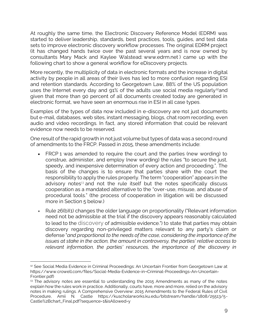At roughly the same time, the Electronic Discovery Reference Model (EDRM) was started to deliver leadership, standards, best practices, tools, guides, and test data sets to improve electronic discovery workflow processes. The original EDRM project (it has changed hands twice over the past several years and is now owned by consultants Mary Mack and Kaylee Walstead: [www.edrm.net](http://www.edrm.net/) ) came up with the following chart to show a general workflow for eDiscovery projects.

More recently, the multiplicity of data in electronic formats and the increase in digital activity by people in all areas of their lives has led to more confusion regarding ESI and retention standards. According to Georgetown Law, 88% of the US population uses the Internet every day and 91% of the adults use social media regularly<sup>12</sup>and given that more than 90 percent of all documents created today are generated in electronic format, we have seen an enormous rise in ESI in all case types.

Examples of the types of data now included in e-discovery are not just documents but e-mail, databases, web sites, instant messaging, blogs, chat room recording, even audio and video recordings. In fact, any stored information that could be relevant evidence now needs to be reserved.

One result of the rapid growth in not just volume but types of data was a second round of amendments to the FRCP. Passed in 2015, these amendments include:

- FRCP 1 was amended to require the court and the parties (new wording) to construe, administer, and employ (new wording) the rules "to secure the just, speedy, and inexpensive determination of every action and proceeding.". The basis of the changes is to ensure that parties share with the court the responsibility to apply the rules properly. The term "cooperation" appears in the advisory notes<sup>13</sup> and not the rule itself but the notes specifically discuss cooperation as a mandated alternative to the "over-use, misuse, and abuse of procedural tools." (the process of cooperation in litigation will be discussed more in Section 5 below.)
- Rule 26(b)(1) changes the older language on proportionality ("Relevant information need not be admissible at the trial if the discovery appears reasonably calculated to lead to the discovery of admissible evidence.") to state that parties may obtain discovery regarding non-privileged matters relevant to any party's claim or defense "*and proportional to the needs of the case, considering the importance of the issues at stake in the action, the amount in controversy, the parties' relative access to relevant information, the parties' resources, the importance of the discovery in*

<sup>&</sup>lt;sup>12</sup> See Social Media Evidence in Criminal Proceedings: An Uncertain Frontier from Georgetown Law at https://www.crowell.com/files/Social-Media-Evidence-in¬Criminal-Proceedings-An-Uncertain-Frontier.pdf)

 $13$  The advisory notes are essential to understanding the 2015 Amendments as many of the notes explain how the rules work in practice. Additionally, courts have, more and more, relied on the advisory notes in making rulings. A Comprehensive Overview: 2015 Amendments to the Federal Rules of Civil Procedure, Amii N. Castle https://kuscholarworks.ku.edu/bitstream/handle/1808/25513/5- Castle%2Bchart\_Final.pdf?sequence=1&isAllowed=y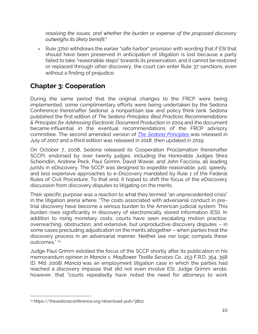*resolving the issues, and whether the burden or expense of the proposed discovery outweighs its likely benefit*."

• Rule 37(e) withdraws the earlier "safe harbor" provision with wording that if ESI that should have been preserved in anticipation of litigation is lost because a party failed to take "reasonable steps" towards its preservation, and it cannot be restored or replaced through other discovery, the court can enter Rule 37 sanctions, even without a finding of prejudice.

# <span id="page-10-0"></span>**Chapter 3: Cooperation**

During the same period that the original changes to the FRCP were being implemented, some complimentary efforts were being undertaken by the Sedona Conference (hereinafter Sedona), a nonpartisan law and policy think tank. Sedona published the first edition of *The Sedona Principles: Best Practices Recommendations & Principles for Addressing Electronic Document Production* in 2004 and the document became influential in the eventual recommendations of the FRCP advisory committee. The second amended version of *[The Sedona Principles](https://thesedonaconference.org/sites/default/files/publications/The%20Sedona%20Principles%20Third%20Edition.19TSCJ1.pdf)* was released in July of 2007 and a third edition was released in 2018, then updated in 2019.

On October 7, 2008, Sedona released its Cooperation Proclamation (hereinafter SCCP), endorsed by over twenty judges, including the Honorable Judges Shira Scheindlin, Andrew Peck, Paul Grimm, David Waxse, and John Facciola, all leading jurists in eDiscovery. The SCCP was designed to expedite reasonable, just, speedy, and less expensive approaches to e-Discovery mandated by Rule 1 of the Federal Rules of Civil Procedure. To that end, it hoped to shift the focus of the eDiscovery discussion from discovery disputes to litigating on the merits.

Their specific purpose was a reaction to what they termed "an unprecedented crisis" in the litigation arena where: "The costs associated with adversarial conduct in pretrial discovery have become a serious burden to the American judicial system. This burden rises significantly in discovery of electronically stored information (ESI). In addition to rising monetary costs, courts have seen escalating motion practice, overreaching, obstruction, and extensive, but unproductive discovery disputes – in some cases precluding adjudication on the merits altogether – when parties treat the discovery process in an adversarial manner. Neither law nor logic compels these outcomes." <sup>14</sup>

Judge Paul Grimm extolled the focus of the SCCP shortly after its publication in his memorandum opinion in *Mancia v. Mayflower Textile Services Co.,* 253 F.R.D. 354, 358 (D. Md. 2008). *Mancia* was an employment litigation case in which the parties had reached a discovery impasse that did not even involve ESI. Judge Grimm wrote, however, that "courts repeatedly have noted the need for attorneys to work

<sup>14</sup> https://thesedonaconference.org/download-pub/3802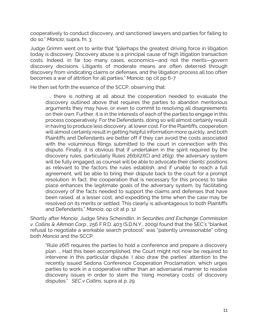cooperatively to conduct discovery, and sanctioned lawyers and parties for failing to do so." *Mancia*, supra, fn. 3.

Judge Grimm went on to write that "[p]erhaps the greatest driving force in litigation today is discovery. Discovery abuse is a principal cause of high litigation transaction costs. Indeed, in far too many cases, economics—and not the merits—govern discovery decisions. Litigants of moderate means are often deterred through discovery from vindicating claims or defenses, and the litigation process all too often becomes a war of attrition for all parties." *Mancia*, op cit pp 6-7

He then set forth the essence of the SCCP, observing that:

. .. there is nothing at all about the cooperation needed to evaluate the discovery outlined above that requires the parties to abandon meritorious arguments they may have, or even to commit to resolving all disagreements on their own. Further, it is in the interests of each of the parties to engage in this process cooperatively. For the Defendants, doing so will almost certainly result in having to produce less discovery, at lower cost. For the Plaintiffs, cooperation will almost certainly result in getting helpful information more quickly, and both Plaintiffs and Defendants are better off if they can avoid the costs associated with the voluminous filings submitted to the court in connection with this dispute. Finally, it is obvious that if undertaken in the spirit required by the discovery rules, particularly Rules 26(b)(2)(C) and 26(g), the adversary system will be fully engaged, as counsel will be able to advocate their clients' positions as relevant to the factors the rules establish, and if unable to reach a full agreement, will be able to bring their dispute back to the court for a prompt resolution. In fact, the cooperation that is necessary for this process to take place enhances the legitimate goals of the adversary system, by facilitating discovery of the facts needed to support the claims and defenses that have been raised, at a lesser cost, and expediting the time when the case may be resolved on its merits or settled. This clearly is advantageous to both Plaintiffs and Defendants." *Mancia*, op cit at p. 12

Shortly after *Mancia*, Judge Shira Scheindlin, in *[Securities and Exchange Commission](http://www.ediscoverylaw.com/uploads/file/Westlaw_Document_Collins%20%26%20Aikman.doc)  [v. Collins & Aikman Corp.](http://www.ediscoverylaw.com/uploads/file/Westlaw_Document_Collins%20%26%20Aikman.doc)*, 256 F.R.D. 403 (S.D.N.Y., 2009) found that the SEC's "blanket refusal to negotiate a workable search protocol" was "patently unreasonable" citing both *Mancia* and the SCCP.

"Rule 26(f) requires the parties to hold a conference and prepare a discovery plan. … Had this been accomplished, the Court might not now be required to intervene in this particular dispute. I also draw the parties' attention to the recently issued Sedona Conference Cooperation Proclamation, which urges parties to work in a cooperative rather than an adversarial manner to resolve discovery issues in order to stem the 'rising monetary costs' of discovery disputes." *SEC v Collins*, supra at p. 29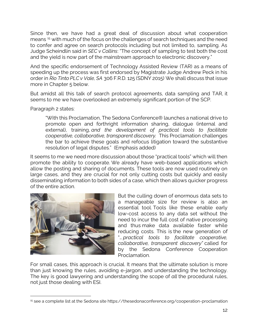Since then, we have had a great deal of discussion about what cooperation means <sup>15</sup> with much of the focus on the challenges of search techniques and the need to confer and agree on search protocols including but not limited to, sampling. As Judge Scheindlin said in *SEC v Collins*: "The concept of sampling to test both the cost and the yield is now part of the mainstream approach to electronic discovery."

And the specific endorsement of Technology Assisted Review (TAR) as a means of speeding up the process was first endorsed by Magistrate Judge Andrew Peck in his order in *Rio Tinto PLC v Vale, SA* 306 F.R.D. 125 (SDNY 2015) We shall discuss that issue more in Chapter 5 below.

But amidst all this talk of search protocol agreements, data sampling and TAR, it seems to me we have overlooked an extremely significant portion of the SCP.

Paragraph 2 states:

"With this Proclamation, The Sedona Conference® launches a national drive to promote open and forthright information sharing, dialogue (internal and external), training, *and the development of practical tools to facilitate cooperative, collaborative, transparent discovery.* This Proclamation challenges the bar to achieve these goals and refocus litigation toward the substantive resolution of legal disputes." (Emphasis added)

It seems to me we need more discussion about those "practical tools" which will then promote the ability to cooperate. We already have web-based applications which allow the posting and sharing of documents. These tools are now used routinely on large cases, and they are crucial for not only cutting costs but quickly and easily disseminating information to both sides of a case, which then allows quicker progress of the entire action.



But the culling down of enormous data sets to a manageable size for review is also an essential tool. Tools like these enable early low-cost access to any data set without the need to incur the full cost of native processing and thus make data available faster while reducing costs. This is the new generation of "… *practical tools to facilitate cooperative, collaborative, transparent discovery"* called for by the Sedona Conference Cooperation Proclamation.

For small cases, this approach is crucial. It means that the ultimate solution is more than just knowing the rules, avoiding e-jargon, and understanding the technology. The key is good lawyering and understanding the scope of *all* the procedural rules, not just those dealing with ESI.

<sup>&</sup>lt;sup>15</sup> see a complete list at the Sedona site https://thesedonaconference.org/cooperation-proclamation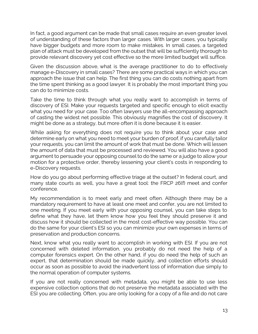In fact, a good argument can be made that small cases require an even greater level of understanding of these factors than larger cases. With larger cases, you typically have bigger budgets and more room to make mistakes. In small cases, a targeted plan of attack must be developed from the outset that will be sufficiently thorough to provide relevant discovery yet cost effective so the more limited budget will suffice.

Given the discussion above, what is the average practitioner to do to effectively manage e-Discovery in small cases? There are some practical ways in which you can approach the issue that can help. The first thing you can do costs nothing apart from the time spent thinking as a good lawyer. It is probably the most important thing you can do to minimize costs.

Take the time to think through what you really want to accomplish in terms of discovery of ESI. Make your requests targeted and specific enough to elicit exactly what you need for your case. Too often lawyers use the all-encompassing approach of casting the widest net possible. This obviously magnifies the cost of discovery. It might be done as a strategy, but more often it is done because it is easier.

While asking for everything does not require you to think about your case and determine early on what you need to meet your burden of proof, if you carefully tailor your requests, you can limit the amount of work that must be done. Which will lessen the amount of data that must be processed and reviewed. You will also have a good argument to persuade your opposing counsel to do the same or a judge to allow your motion for a protective order, thereby lessening your client's costs in responding to e-Discovery requests.

How do you go about performing effective triage at the outset? In federal court, and many state courts as well, you have a great tool: the FRCP 26(f) meet and confer conference.

My recommendation is to meet early and meet often. Although there may be a mandatory requirement to have at least one meet and confer, you are not limited to one meeting. If you meet early with your opposing counsel, you can take steps to define what they have, let them know how you feel they should preserve it and discuss how it should be collected in the most cost-effective way possible. You can do the same for your client's ESI so you can minimize your own expenses in terms of preservation and production concerns.

Next, know what you really want to accomplish in working with ESI. If you are not concerned with deleted information, you probably do not need the help of a computer forensics expert. On the other hand, if you do need the help of such an expert, that determination should be made quickly, and collection efforts should occur as soon as possible to avoid the inadvertent loss of information due simply to the normal operation of computer systems.

If you are not really concerned with metadata, you might be able to use less expensive collection options that do not preserve the metadata associated with the ESI you are collecting. Often, you are only looking for a copy of a file and do not care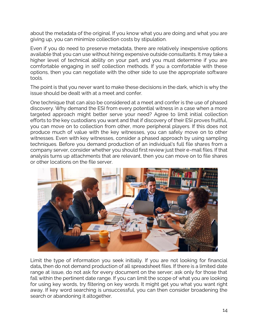about the metadata of the original. If you know what you are doing and what you are giving up, you can minimize collection costs by stipulation.

Even if you do need to preserve metadata, there are relatively inexpensive options available that you can use without hiring expensive outside consultants. It may take a higher level of technical ability on your part, and you must determine if you are comfortable engaging in self collection methods. If you a comfortable with these options, then you can negotiate with the other side to use the appropriate software tools.

The point is that you never want to make these decisions in the dark, which is why the issue should be dealt with at a meet and confer.

One technique that can also be considered at a meet and confer is the use of phased discovery. Why demand the ESI from every potential witness in a case when a more targeted approach might better serve your need? Agree to limit initial collection efforts to the key custodians you want and that if discovery of their ESI proves fruitful, you can move on to collection from other, more peripheral players. If this does not produce much of value with the key witnesses, you can safely move on to other witnesses. Even with key witnesses, consider a phased approach by using sampling techniques. Before you demand production of an individual's full file shares from a company server, consider whether you should first review just their e-mail files. If that analysis turns up attachments that are relevant, then you can move on to file shares or other locations on the file server.



Limit the type of information you seek initially. If you are not looking for financial data**,** then do not demand production of all spreadsheet files. If there is a limited date range at issue, do not ask for every document on the server; ask only for those that fall within the pertinent date range. If you can limit the scope of what you are looking for using key words, try filtering on key words. It might get you what you want right away. If key word searching is unsuccessful, you can then consider broadening the search or abandoning it altogether.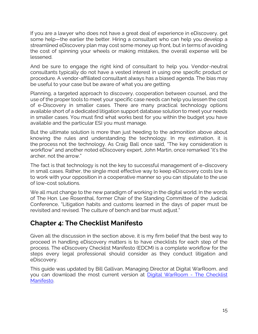If you are a lawyer who does not have a great deal of experience in eDiscovery, get some help—the earlier the better. Hiring a consultant who can help you develop a streamlined eDiscovery plan may cost some money up front, but in terms of avoiding the cost of spinning your wheels or making mistakes, the overall expense will be lessened.

And be sure to engage the right kind of consultant to help you. Vendor-neutral consultants typically do not have a vested interest in using one specific product or procedure. A vendor-affiliated consultant always has a biased agenda. The bias may be useful to your case but be aware of what you are getting.

Planning, a targeted approach to discovery, cooperation between counsel, and the use of the proper tools to meet your specific case needs can help you lessen the cost of e-Discovery in smaller cases. There are many practical technology options available short of a dedicated litigation support database solution to meet your needs in smaller cases. You must find what works best for you within the budget you have available and the particular ESI you must manage.

But the ultimate solution is more than just heeding to the admonition above about knowing the rules and understanding the technology. In my estimation, it is the process not the technology. As Craig Ball once said, "The key consideration is workflow" and another noted eDiscovery expert, John Martin, once remarked "it's the archer, not the arrow."

The fact is that technology is not the key to successful management of e-discovery in small cases. Rather, the single most effective way to keep eDiscovery costs low is to work with your opposition in a cooperative manner so you can stipulate to the use of low-cost solutions.

We all must change to the new paradigm of working in the digital world. In the words of The Hon. Lee Rosenthal, former Chair of the Standing Committee of the Judicial Conference, "Litigation habits and customs learned in the days of paper must be revisited and revised. The culture of bench and bar must adjust."

# <span id="page-15-0"></span>**Chapter 4: The Checklist Manifesto**

Given all the discussion in the section above, it is my firm belief that the best way to proceed in handling eDiscovery matters is to have checklists for each step of the process. The eDiscovery Checklist Manifesto (EDCM) is a complete workflow for the steps every legal professional should consider as they conduct litigation and eDiscovery.

This guide was updated by Bill Gallivan, Managing Director at Digital WarRoom, and you can download the most current version at [Digital WarRoom](https://www.digitalwarroom.com/ediscovery-checklist-manifesto) - The Checklist [Manifesto.](https://www.digitalwarroom.com/ediscovery-checklist-manifesto)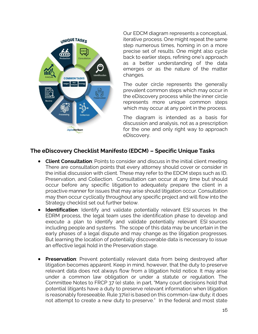

Our EDCM diagram represents a conceptual, iterative process. One might repeat the same step numerous times, homing in on a more precise set of results. One might also cycle back to earlier steps, refining one's approach as a better understanding of the data emerges or as the nature of the matter changes.

The outer circle represents the generally prevalent common steps which may occur in the eDiscovery process while the inner circle represents more unique common steps which may occur at any point in the process.

The diagram is intended as a basis for discussion and analysis, not as a prescription for the one and only right way to approach eDiscovery.

#### **The eDiscovery Checklist Manifesto (EDCM) – Specific Unique Tasks**

- **Client Consultation**: Points to consider and discuss in the initial client meeting There are consultation points that every attorney should cover or consider in the initial discussion with client. These may refer to the EDCM steps such as ID, Preservation, and Collection. Consultation can occur at any time but should occur before any specific litigation to adequately prepare the client in a proactive manner for issues that may arise should litigation occur. Consultation may then occur cyclically throughout any specific project and will flow into the Strategy checklist set out further below.
- **Identification**: Identify and validate potentially relevant ESI sources In the EDRM process, the legal team uses the identification phase to develop and execute a plan to identify and validate potentially relevant ESI sources including people and systems. The scope of this data may be uncertain in the early phases of a legal dispute and may change as the litigation progresses. But learning the location of potentially discoverable data is necessary to issue an effective legal hold in the Preservation stage.
- **Preservation**: Prevent potentially relevant data from being destroyed after litigation becomes apparent. Keep in mind, however, that the duty to preserve relevant data does not always flow from a litigation hold notice. It may arise under a common law obligation or under a statute or regulation. The Committee Notes to FRCP 37 (e) state, in part, "Many court decisions hold that potential litigants have a duty to preserve relevant information when litigation is reasonably foreseeable. Rule 37(e) is based on this common-law duty; it does not attempt to create a new duty to preserve." In the federal and most state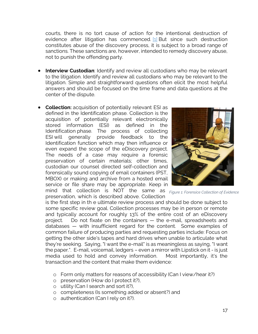courts, there is no tort cause of action for the intentional destruction of evidence after litigation has commenced. [\[1\]](https://www.digitalwarroom.com/blog/electronic-discovery-for-the-rest-of-us-ediscovery-checklist#_ftn1) But since such destruction constitutes abuse of the discovery process, it is subject to a broad range of sanctions. These sanctions are, however, intended to remedy discovery abuse, not to punish the offending party.

- **Interview Custodian**: Identify and review all custodians who may be relevant to the litigation. Identify and review all custodians who may be relevant to the litigation. Simple and straightforward questions often elicit the most helpful answers and should be focused on the time frame and data questions at the center of the dispute.
- **Collection:** acquisition of potentially relevant ESI as defined in the Identification phase. Collection is the acquisition of potentially relevant electronically stored information (ESI) as defined in the Identification phase. The process of collecting ESI will generally provide feedback to the Identification function which may then influence or even expand the scope of the eDiscovery project. The needs of a case may require a forensic preservation of certain materials; other times, custodian our counsel directed self-collection and forensically sound copying of email containers (PST, MBOX) or making and archive from a hosted email service or file share may be appropriate. Keep in



mind that collection is NOT the same as *Figure 1: Forensice Collection of Evidence*preservation, which is described above. Collection

is the first step in th e ultimate review process and should be done subject to some specific review goal. Collection processes may be in person or remote and typically account for roughly 13% of the entire cost of an eDiscovery project. Do not fixate on the containers — the e-mail, spreadsheets and databases — with insufficient regard for the content. Some examples of common failure of producing parties and requesting parties include: Focus on getting the other side's tapes and hard drives when unable to articulate what they're seeking. Saying, "I want the e-mail" is as meaningless as saying, "I want the paper.". E-mail, voicemail, ledgers – even a mirror with Lipstick on it - is just media used to hold and convey information. Most importantly, it's the transaction and the content that make them evidence:

- o Form only matters for reasons of accessibility (Can I view/hear it?)
- o preservation (How do I protect it?),
- o utility (Can I search and sort it?),
- o completeness (Is something added or absent?) and
- o authentication (Can I rely on it?).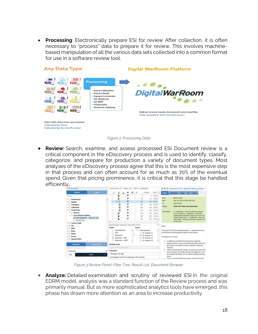• **Processing**: Electronically prepare ESI for review After collection, it is often necessary to "process" data to prepare it for review. This involves machinebased manipulation of all the various data sets collected into a common format for use in a software review tool.



*Figure 2: Processing Data*

• **Review:** Search, examine, and assess processed ESI Document review is a critical component in the eDiscovery process and is used to identify, classify, categorize, and prepare for production a variety of document types. Most analyses of the eDiscovery process agree that this is the most expensive step in that process and can often account for as much as 70% of the eventual spend. Given that pricing prominence, it is critical that this stage be handled efficiently**.**

| Find Documents                                             |               |   |                        |                                |                             |                   | Current Docs: 24 Pages: 123 Filters: 1 production    |                                  |                                        |                                                          |               |                                       |    | $\circledR$ $\circledR$ Document Id 118 - DWR GIST follow up Inform -                                                      |
|------------------------------------------------------------|---------------|---|------------------------|--------------------------------|-----------------------------|-------------------|------------------------------------------------------|----------------------------------|----------------------------------------|----------------------------------------------------------|---------------|---------------------------------------|----|----------------------------------------------------------------------------------------------------------------------------|
| Review                                                     | Drufts -      |   | $\sigma$               | 囼                              |                             |                   | to                                                   | $-1$ FAMILY                      | $-$ DATE $\pm$                         | <b>Native</b>                                            | Highlighted   | Image                                 | oa | <b>History</b>                                                                                                             |
| Filters                                                    |               |   |                        | g                              |                             |                   |                                                      |                                  | 2.8/18/2                               |                                                          |               |                                       |    |                                                                                                                            |
| > Assignments                                              |               |   |                        | g                              | 旱                           |                   | 45                                                   | 45                               | B/10/2                                 | From:<br>Date:                                           | Robert Powell | June 06, 2016 10:30:00 AM (-05)       |    |                                                                                                                            |
| <b>Binders</b><br>$\cdot$                                  |               |   |                        | ⊠                              |                             |                   | 118                                                  | 118                              | $-6/6/20$                              | Ta:                                                      | Joann Powell  |                                       |    |                                                                                                                            |
| $\ast$ $\Box$<br>Custodians                                |               |   |                        | €                              |                             |                   | 465                                                  | 118                              | 6/6/20                                 | Subject:                                                 |               | <b>DWR GIST follow up Information</b> |    |                                                                                                                            |
| + Collections                                              |               |   | 5                      | €                              |                             |                   | 466                                                  | 118                              | 6/6/20                                 |                                                          |               |                                       |    |                                                                                                                            |
| <b>Productions</b><br>$\cdot$ $\Box$                       |               |   | ö                      | <b>G</b>                       |                             |                   | 467                                                  | 118                              | 6/6/20                                 | Attachments:                                             |               |                                       |    | A - Confidential - Reviwer Performance Report                                                                              |
| + Adverse                                                  |               |   | ż                      | g                              | н                           |                   | 122                                                  | 122                              | 1/24/2                                 |                                                          |               |                                       |    | (01-05-16) xlsx; B - Confidential - GIST Map -                                                                             |
| ▼ Great Western Railway<br>C GWR-500000001 - 00000123 (24) |               |   | $\mathbf{B}$           | g                              | ш                           |                   | 203                                                  | 203                              | 1/23/2                                 |                                                          |               |                                       |    | Disagreement Distribution Phase III (05-02-16)a<br>Trained Results visy: C - Confidential - Phase IV                       |
| VOL 002 (18)                                               |               |   | $\alpha$               | g                              | н                           |                   | 212                                                  |                                  | 212 5/11/7                             |                                                          |               |                                       |    | GIST Model - Scoring and Reviewer Variance (05-                                                                            |
| <b>Experience Fields</b>                                   |               |   | $\bullet$              |                                |                             |                   |                                                      |                                  | U                                      |                                                          | 09-161a.xluc  |                                       |    |                                                                                                                            |
| $\triangleright$ $\Box$ 10s                                |               |   |                        |                                |                             |                   | Work Product Inspector: Document Id 118              |                                  | $*$ X                                  | Joann.                                                   |               |                                       |    |                                                                                                                            |
| $\triangleright$<br>Piths                                  |               |   | Marks                  |                                |                             |                   | Issues                                               |                                  |                                        |                                                          |               |                                       |    |                                                                                                                            |
| $\star \Box$<br><b>Bates</b>                               |               |   |                        | Non-Responsive                 |                             | $\boxed{\bullet}$ | $+13$                                                | Interrogatories                  | $\begin{array}{c} \hline \end{array}$  |                                                          |               |                                       |    | Thank you for the time and great questions - I appreciate that you                                                         |
| $\cdot$<br><b>Marks</b>                                    |               |   | ш<br>Θ                 | <b>TEST</b>                    |                             |                   |                                                      | R1. Request #1                   |                                        | and the team are putting great thought into the process. |               |                                       |    |                                                                                                                            |
| $\triangleright$ Tissues                                   |               |   | ø                      | Responsive<br>Responsive - AEO |                             |                   | W.                                                   | R2. Request #2<br>R3. Request #3 |                                        | To recap from my notes:                                  |               |                                       |    |                                                                                                                            |
| <b>E Special Filters</b>                                   |               | G |                        |                                | Responsive - Public         | i۵                |                                                      | R4. Regeust #4                   |                                        |                                                          |               |                                       |    |                                                                                                                            |
|                                                            |               |   |                        |                                |                             |                   |                                                      |                                  | $\left\lceil \frac{1}{2} \right\rceil$ |                                                          |               |                                       |    | In addition to standard (most frequently requested).<br>progress reports, we can provide bespoke, static reports for       |
| <b>Keywords</b>                                            | Keyword Lists |   | <b>Privilege Basis</b> |                                |                             |                   |                                                      |                                  |                                        |                                                          |               |                                       |    | your teams in the DWR to monitor progress to alternate                                                                     |
| Paste or brps knowords here.                               |               |   |                        |                                | Type or seller a binit hays |                   |                                                      |                                  |                                        | measures.                                                |               |                                       |    |                                                                                                                            |
| Stemming                                                   |               | ⊛ | <b>Comments</b>        |                                |                             |                   |                                                      |                                  |                                        |                                                          |               |                                       |    | When constructing GIST models, we solicit your input in the<br>source reviewers to include, exclude, overweight, etc., and |
| Clear                                                      | Search        | ۰ | See page 2 for depo    |                                |                             |                   |                                                      |                                  |                                        |                                                          |               |                                       |    | can compare the effects with you before updating learning                                                                  |
|                                                            |               |   |                        |                                |                             |                   | (2) Propagate comment to duplicates (will overwrite) |                                  |                                        | scores                                                   |               |                                       |    | You can include multiple pass review, clustered / layered                                                                  |

*Figure 3 Review Panel: Filter Tree, Result List, Document Browser*

• **Analyze:** Detailed examination and scrutiny of reviewed ESI In the original EDRM model, analysis was a standard function of the Review process and was primarily manual. But as more sophisticated analytics tools have emerged, this phase has drawn more attention as an area to increase productivity.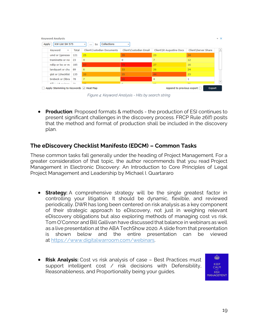| <b>Keyword Analysis</b>               |       |                            |                        |                           |                     | $- \times$               |
|---------------------------------------|-------|----------------------------|------------------------|---------------------------|---------------------|--------------------------|
| KW List SH 575<br>Apply               |       | Collections<br>$\cdots$ by |                        |                           |                     |                          |
| Keyword<br>$\scriptstyle\rm w$        | Total | Client\Custodian Documents | Client\Custodian Email | Client\St Augustine Docs  | Client\Server Share | E                        |
| umd or (genesee                       | 121   | 25                         | 39                     | 23                        | 34                  |                          |
| traminette or no                      | 23    | 4                          | 0                      |                           | 12                  |                          |
| ndiip or loc or m: 185                |       | 63                         | 79                     | 27                        | 16                  |                          |
| landquart or chu                      | 89    | 6                          | 33                     | 26                        | 24                  |                          |
| gist or (checklist   135              |       | 33                         | 35                     | 44                        | 23                  |                          |
| brobeck or (libra 78                  |       |                            | 66                     |                           |                     |                          |
| WHEN I COURT AND A RESIDENT TO MAKE   |       | mon.                       |                        | <b>ALC:</b>               | <b>Park</b>         | $\overline{\phantom{a}}$ |
| Apply Stemming to Keywords V Heat Map |       |                            |                        | Append to previous export | <b>Export</b>       |                          |

*Figure 4: Keyword Analysis - Hits by search string*

• **Production**: Proposed formats & methods - the production of ESI continues to present significant challenges in the discovery process. FRCP Rule 26(f) posits that the method and format of production shall be included in the discovery plan.

#### **The eDiscovery Checklist Manifesto (EDCM) – Common Tasks**

These common tasks fall generally under the heading of Project Management. For a greater consideration of that topic, the author recommends that you read Project Management in Electronic Discovery: An Introduction to Core Principles of Legal Project Management and Leadership by Michael I. Quartararo

- **Strategy:** A comprehensive strategy will be the single greatest factor in controlling your litigation. It should be dynamic, flexible, and reviewed periodically. DWR has long been centered on risk analysis as a key component of their strategic approach to eDiscovery, not just in weighing relevant eDiscovery obligations but also exploring methods of managing cost vs risk. Tom O'Connor and Bill Gallivan have discussed that balance in webinars as well as a live presentation at the ABA TechShow 2020. A slide from that presentation is shown below and the entire presentation can be viewed at [https://www.digitalwarroom.com/webinars.](https://www.digitalwarroom.com/webinars)
- **Risk Analysis:** Cost vs risk analysis of case Best Practices must support intelligent cost / risk decisions with Defensibility, Reasonableness, and Proportionality being your guides.

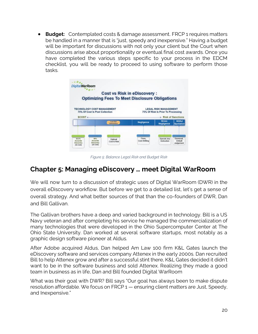• **Budget:** Contemplated costs & damage assessment. FRCP 1 requires matters be handled in a manner that is "just, speedy and inexpensive." Having a budget will be important for discussions with not only your client but the Court when discussions arise about proportionality or eventual final cost awards. Once you have completed the various steps specific to your process in the EDCM checklist, you will be ready to proceed to using software to perform those tasks.

|        | <b>LEGAL RISK MANAGEMENT</b><br>75% Of Risk Is Prior To Processing |                              |
|--------|--------------------------------------------------------------------|------------------------------|
|        | $\triangleright$ Risk of Sanctions                                 |                              |
|        | Gross<br><b>Negligence</b>                                         | Willful<br><b>Spoliation</b> |
| Fines. | Special Jury                                                       | Dismissal.                   |
|        | Negligence<br>Cost-Shifting                                        | Instruction                  |

*Figure 5: Balance Legal Risk and Budget Risk*

# <span id="page-20-0"></span>**Chapter 5: Managing eDiscovery … meet Digital WarRoom**

We will now turn to a discussion of strategic uses of Digital WarRoom (DWR) in the overall eDiscovery workflow. But before we get to a detailed list, let's get a sense of overall strategy. And what better sources of that than the co-founders of DWR, Dan and Bill Gallivan.

The Gallivan brothers have a deep and varied background in technology. Bill is a US Navy veteran and after completing his service he managed the commercialization of many technologies that were developed in the Ohio Supercomputer Center at The Ohio State University. Dan worked at several software startups, most notably as a graphic design software pioneer at Aldus.

After Adobe acquired Aldus, Dan helped Am Law 100 firm K&L Gates launch the eDiscovery software and services company Attenex in the early 2000s. Dan recruited Bill to help Attenex grow and after a successful stint there, K&L Gates decided it didn't want to be in the software business and sold Attenex. Realizing they made a good team in business as in life, Dan and Bill founded Digital WarRoom

What was their goal with DWR? Bill says "Our goal has always been to make dispute resolution affordable. We focus on FRCP 1 — ensuring client matters are Just, Speedy, and Inexpensive."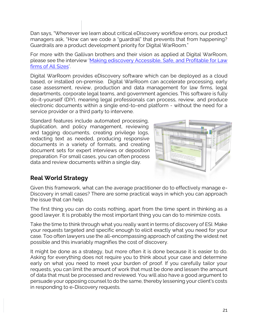Dan says, "Whenever we learn about critical eDiscovery workflow errors, our product managers ask, "How can we code a "guardrail" that prevents that from happening? Guardrails are a product development priority for Digital WarRoom."

For more with the Gallivan brothers and their vision as applied at Digital WarRoom, please see the interview 'Making ediscovery Accessible, Safe, and Profitable for Law [firms of All Sizes](https://www.digitalwarroom.com/hubfs/Collateral/DWR%20Interview%20With%20Bill%20And%20Dan%20Gallivan.pdf)'.

Digital WarRoom provides eDiscovery software which can be deployed as a cloud based, or installed on-premise. Digital WarRoom can accelerate processing, early case assessment, review, production and data management for law firms, legal departments, corporate legal teams, and government agencies. This software is fully do-it-yourself (DIY), meaning legal professionals can process, review, and produce electronic documents within a single end-to-end platform - without the need for a service provider or a third party to intervene.

Standard features include automated processing, duplication, and policy management, reviewing and tagging documents, creating privilege logs, redacting text as needed, producing responsive documents in a variety of formats, and creating document sets for expert interviews or deposition preparation. For small cases, you can often process data and review documents within a single day.



## **Real World Strategy**

Given this framework, what can the average practitioner do to effectively manage e-Discovery in small cases? There are some practical ways in which you can approach the issue that can help.

The first thing you can do costs nothing, apart from the time spent in thinking as a good lawyer. It is probably the most important thing you can do to minimize costs.

Take the time to think through what you really want in terms of discovery of ESI. Make your requests targeted and specific enough to elicit exactly what you need for your case. Too often lawyers use the all-encompassing approach of casting the widest net possible and this invariably magnifies the cost of discovery.

It might be done as a strategy, but more often it is done because it is easier to do. Asking for everything does not require you to think about your case and determine early on what you need to meet your burden of proof. If you carefully tailor your requests, you can limit the amount of work that must be done and lessen the amount of data that must be processed and reviewed. You will also have a good argument to persuade your opposing counsel to do the same, thereby lessening your client's costs in responding to e-Discovery requests.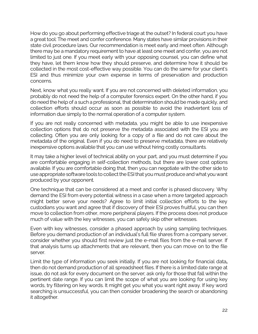How do you go about performing effective triage at the outset? In federal court you have a great tool: The meet and confer conference. Many states have similar provisions in their state civil procedure laws. Our recommendation is meet early and meet often. Although there may be a mandatory requirement to have at least one meet and confer, you are not limited to just one. If you meet early with your opposing counsel, you can define what they have, let them know how they should preserve, and determine how it should be collected in the most cost-effective way possible. You can do the same for your client's ESI and thus minimize your own expense in terms of preservation and production concerns.

Next, know what you really want. If you are not concerned with deleted information, you probably do not need the help of a computer forensics expert. On the other hand, if you do need the help of a such a professional, that determination should be made quickly, and collection efforts should occur as soon as possible to avoid the inadvertent loss of information due simply to the normal operation of a computer system.

If you are not really concerned with metadata, you might be able to use inexpensive collection options that do not preserve the metadata associated with the ESI you are collecting. Often you are only looking for a copy of a file and do not care about the metadata of the original. Even if you do need to preserve metadata, there are relatively inexpensive options available that you can use without hiring costly consultants.

It may take a higher level of technical ability on your part, and you must determine if you are comfortable engaging in self-collection methods, but there are lower cost options available. If you are comfortable doing that, then you can negotiate with the other side to use appropriate software tools to collect the ESI that you must produce and what you want produced by your opponent.

One technique that can be considered at a meet and confer is phased discovery. Why demand the ESI from every potential witness in a case when a more targeted approach might better serve your needs? Agree to limit initial collection efforts to the key custodians you want and agree that if discovery of their ESI proves fruitful, you can then move to collection from other, more peripheral players. If the process does not produce much of value with the key witnesses, you can safely skip other witnesses.

Even with key witnesses, consider a phased approach by using sampling techniques. Before you demand production of an individual's full file shares from a company server, consider whether you should first review just the e-mail files from the e-mail server. If that analysis turns up attachments that are relevant, then you can move on to the file server.

Limit the type of information you seek initially. If you are not looking for financial data**,**  then do not demand production of all spreadsheet files. If there is a limited date range at issue, do not ask for every document on the server; ask only for those that fall within the pertinent date range. If you can limit the scope of what you are looking for using key words, try filtering on key words. It might get you what you want right away. If key word searching is unsuccessful, you can then consider broadening the search or abandoning it altogether.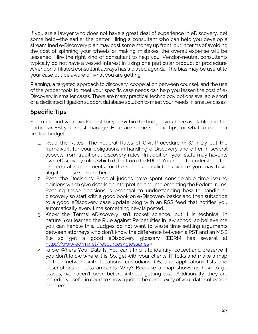If you are a lawyer who does not have a great deal of experience in eDiscovery, get some help—the earlier the better. Hiring a consultant who can help you develop a streamlined e-Discovery plan may cost some money up front, but in terms of avoiding the cost of spinning your wheels or making mistakes, the overall expense will be lessened. Hire the right kind of consultant to help you. Vendor-neutral consultants typically do not have a vested interest in using one particular product or procedure. A vendor-affiliated consultant always has a biased agenda. The bias may be useful to your case but be aware of what you are getting.

Planning, a targeted approach to discovery, cooperation between counsel, and the use of the proper tools to meet your specific case needs can help you lessen the cost of e-Discovery in smaller cases. There are many practical technology options available short of a dedicated litigation support database solution to meet your needs in smaller cases.

## **Specific Tips**

You must find what works best for you within the budget you have available and the particular ESI you must manage. Here are some specific tips for what to do on a limited budget.

- 1. Read the Rules: The Federal Rules of Civil Procedure (FRCP) lay out the framework for your obligations in handling e-Discovery and differ in several aspects from traditional discovery rules. In addition, your state may have its own eDiscovery rules which differ from the FRCP. You need to understand the procedural requirements for the various jurisdictions where you may have litigation arise so start there.
- 2. Read the Decisions: Federal judges have spent considerable time issuing opinions which give details on interpreting and implementing the Federal rules. Reading these decisions is essential to understanding how to handle ediscovery so start with a good book on e-Discovery basics and then subscribe to a good eDiscovery case update blog with an RSS feed that notifies you automatically every time something new is posted.
- 3. Know the Terms: eDiscovery isn't rocket science, but it is technical in nature. You learned the Rule against Perpetuities in law school so believe me you can handle this. Judges do not want to waste time settling arguments between attorneys who don't know the difference between a PST and an MSG file so get a good eDiscovery glossary (EDRM has several at <http://www.edrm.net/resources/glossaries> )
- 4. Know Where Your Data Is: You can't find it to identify, collect and preserve if you don't know where it is. So, get with your clients' IT folks and make a map of their network with locations, custodians, OS, and applications lists and descriptions of data amounts. Why? Because a map shows us how to go places, we haven't been before without getting lost. Additionally, they are incredibly useful in court to show a judge the complexity of your data collection problem.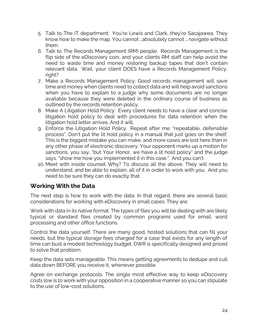- 5. Talk to The IT department: You're Lewis and Clark, they're Sacajawea. They know how to make the map. You cannot …absolutely cannot … navigate without them.
- 6. Talk to The Records Management (RM) people: Records Management is the flip side of the eDiscovery coin, and your clients RM staff can help avoid the need to waste time and money restoring backup tapes that don't contain relevant data. Wait, your client DOES have a Records Management Policy, right?
- 7. Make a Records Management Policy: Good records management will save time and money when clients need to collect data and will help avoid sanctions when you have to explain to a judge why some documents are no longer available because they were deleted in the ordinary course of business as outlined by the records retention policy.
- 8. Make A Litigation Hold Policy: Every client needs to have a clear and concise litigation hold policy to deal with procedures for data retention when the litigation hold letter arrives. And it will.
- 9. Enforce the Litigation Hold Policy. Repeat after me: "repeatable, defensible process". Don't put the lit hold policy in a manual that just goes on the shelf. This is the biggest mistake you can make, and more cases are lost here than in any other phase of electronic discovery. Your opponent marks up a motion for sanctions, you say, "but Your Honor, we have a lit hold policy" and the judge says, "show me how you implemented it in this case." And you can't.
- 10. Meet with inside counsel. Why? To discuss all the above. They will need to understand, and be able to explain, all of it in order to work with you. And you need to be sure they can do exactly that.

## **Working With the Data**

The next step is how to work with the data. In that regard, there are several basic considerations for working with eDiscovery in small cases. They are:

Work with data in its native format. The types of files you will be dealing with are likely typical or standard files created by common programs used for email, word processing and other office functions.

Control the data yourself. There are many good, hosted solutions that can fill your needs, but the typical storage fees charged for a case that exists for any length of time can bust a modest technology budget. DWR is specifically designed and priced to solve that problem.

Keep the data sets manageable. This means getting agreements to dedupe and cull data down BEFORE you receive it, whenever possible.

Agree on exchange protocols. The single most effective way to keep eDiscovery costs low is to work with your opposition in a cooperative manner so you can stipulate to the use of low-cost solutions.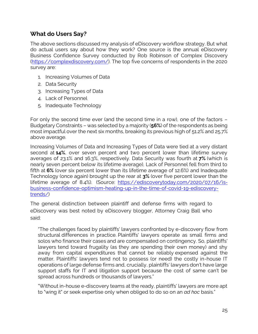## **What do Users Say?**

The above sections discussed my analysis of eDiscovery workflow strategy. But what do actual users say about how they work? One source is the annual eDiscovery Business Confidence Survey conducted by Rob Robinson of Complex Discovery [\(https://complexdiscovery.com/\)](https://complexdiscovery.com/). The top five concerns of respondents in the 2020 survey are:

- 1. Increasing Volumes of Data
- 2. Data Security
- 3. Increasing Types of Data
- 4. Lack of Personnel
- 5. Inadequate Technology

For only the second time ever (and the second time in a row), one of the factors – Budgetary Constraints – was selected by a majority (**56%**) of the respondents as being most impactful over the next six months, breaking its previous high of 51.2% and 25.7% above average.

Increasing Volumes of Data and Increasing Types of Data were tied at a very distant second at **14%**, over seven percent and two percent lower than lifetime survey averages of 23.1% and 16.3%, respectively. Data Security was fourth at **7%** (which is nearly seven percent below its lifetime average), Lack of Personnel fell from third to fifth at **6%** (over six percent lower than its lifetime average of 12.6%) and Inadequate Technology (once again) brought up the rear at **3%** (over five percent lower than the lifetime average of 8.4%). (Source: [https://ediscoverytoday.com/2020/07/16/is](https://ediscoverytoday.com/2020/07/16/is-business-confidence-optimism-heating-up-in-the-time-of-covid-19-ediscovery-trends/)[business-confidence-optimism-heating-up-in-the-time-of-covid-19-ediscovery](https://ediscoverytoday.com/2020/07/16/is-business-confidence-optimism-heating-up-in-the-time-of-covid-19-ediscovery-trends/)[trends/\)](https://ediscoverytoday.com/2020/07/16/is-business-confidence-optimism-heating-up-in-the-time-of-covid-19-ediscovery-trends/)

The general distinction between plaintiff and defense firms with regard to eDiscovery was best noted by eDiscovery blogger, Attorney Craig Ball who said:

"The challenges faced by plaintiffs' lawyers confronted by e-discovery flow from structural differences in practice. Plaintiffs' lawyers operate as small firms and solos who finance their cases and are compensated on contingency. So, plaintiffs' lawyers tend toward frugality (as they are spending their own money) and shy away from capital expenditures that cannot be reliably expensed against the matter. Plaintiffs' lawyers tend not to possess (or need) the costly in-house IT operations of large defense firms and, crucially, plaintiffs' lawyers don't have large support staffs for IT and litigation support because the cost of same can't be spread across hundreds or thousands of lawyers."

"Without in-house e-discovery teams at the ready, plaintiffs' lawyers are more apt to "wing it" or seek expertise only when obliged to do so on an *ad hoc* basis."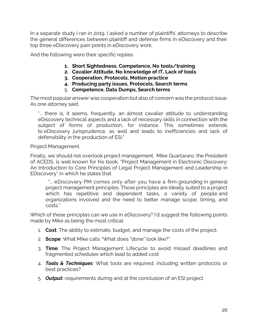In a separate study I ran in 2019, I asked a number of plaintiffs' attorneys to describe the general differences between plaintiff and defense firms in eDiscovery and their top three eDiscovery pain points in eDiscovery work.

And the following were their specific replies

- **1. Short Sightedness, Competence, No tools/training**
- **2. Cavalier Attitude, No knowledge of IT, Lack of tools**
- **3. Cooperation, Protocols, Motion practice**
- **4. Producing party issues, Protocols, Search terms**
- 5. **Competence, Data Dumps, Search terms**

The most popular answer was cooperation but also of concern was the protocol issue. As one attorney said,

"... there is, it seems, frequently, an almost cavalier attitude to understanding eDiscovery technical aspects and a lack of necessary skills in connection with the subject of forms of production, for instance. This sometimes extends to eDiscovery jurisprudence, as well and leads to inefficiencies and lack of defensibility in the production of ESI."

#### Project Management

Finally, we should not overlook project management. Mike Quartararo, the President of ACEDS, is well known for his book, "Project Management in Electronic Discovery: An Introduction to Core Principles of Legal Project Management and Leadership in EDiscovery" in which he states that

"… eDiscovery PM comes only after you have a firm grounding in general project management principles. Those principles are ideally suited to a project which has repetitive and dependent tasks, a variety of people and organizations involved and the need to better manage scope, timing, and costs."

Which of these principles can we use in eDiscovery? I'd suggest the following points made by Mike as being the most critical:

- 1. **Cost**: The ability to estimate, budget, and manage the costs of the project.
- 2. **Scope**: What Mike calls "What does "done" look like?"
- 3. **Time**: The Project Management Lifecycle to avoid missed deadlines and fragmented schedules which lead to added cost
- 4. *Tools & Techniques:* What tools are required, including written protocols or best practices?
- 5. *Output:* requirements during and at the conclusion of an ESI project